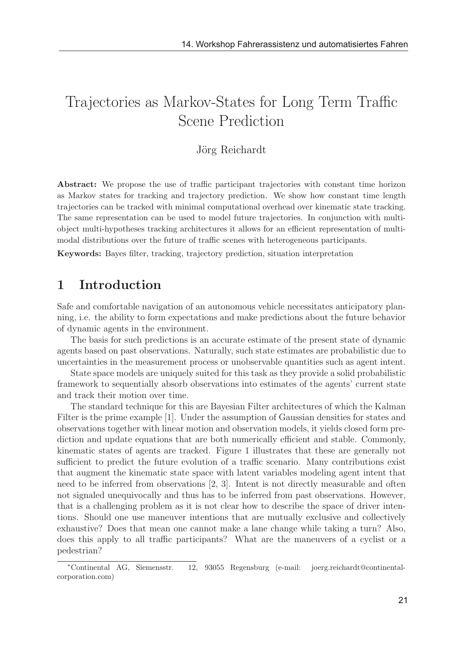# Trajectories as Markov-States for Long Term Traffic Scene Prediction

#### Jörg Reichardt

Abstract: We propose the use of traffic participant trajectories with constant time horizon as Markov states for tracking and trajectory prediction. We show how constant time length trajectories can be tracked with minimal computational overhead over kinematic state tracking. The same representation can be used to model future trajectories. In conjunction with multiobject multi-hypotheses tracking architectures it allows for an efficient representation of multimodal distributions over the future of traffic scenes with heterogeneous participants.

Keywords: Bayes filter, tracking, trajectory prediction, situation interpretation

## 1 Introduction

Safe and comfortable navigation of an autonomous vehicle necessitates anticipatory planning, i.e. the ability to form expectations and make predictions about the future behavior of dynamic agents in the environment.

The basis for such predictions is an accurate estimate of the present state of dynamic agents based on past observations. Naturally, such state estimates are probabilistic due to uncertainties in the measurement process or unobservable quantities such as agent intent.

State space models are uniquely suited for this task as they provide a solid probabilistic framework to sequentially absorb observations into estimates of the agents' current state and track their motion over time.

The standard technique for this are Bayesian Filter architectures of which the Kalman Filter is the prime example [1]. Under the assumption of Gaussian densities for states and observations together with linear motion and observation models, it yields closed form prediction and update equations that are both numerically efficient and stable. Commonly, kinematic states of agents are tracked. Figure 1 illustrates that these are generally not sufficient to predict the future evolution of a traffic scenario. Many contributions exist that augment the kinematic state space with latent variables modeling agent intent that need to be inferred from observations [2, 3]. Intent is not directly measurable and often not signaled unequivocally and thus has to be inferred from past observations. However, that is a challenging problem as it is not clear how to describe the space of driver intentions. Should one use maneuver intentions that are mutually exclusive and collectively exhaustive? Does that mean one cannot make a lane change while taking a turn? Also, does this apply to all traffic participants? What are the maneuvers of a cyclist or a pedestrian?

<sup>∗</sup>Continental AG, Siemensstr. 12, 93055 Regensburg (e-mail: joerg.reichardt@continentalcorporation.com)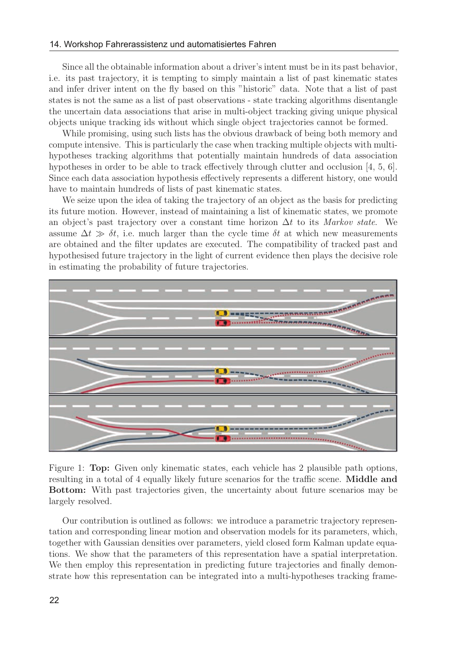Since all the obtainable information about a driver's intent must be in its past behavior, i.e. its past trajectory, it is tempting to simply maintain a list of past kinematic states and infer driver intent on the fly based on this "historic" data. Note that a list of past states is not the same as a list of past observations - state tracking algorithms disentangle the uncertain data associations that arise in multi-object tracking giving unique physical objects unique tracking ids without which single object trajectories cannot be formed.

While promising, using such lists has the obvious drawback of being both memory and compute intensive. This is particularly the case when tracking multiple objects with multihypotheses tracking algorithms that potentially maintain hundreds of data association hypotheses in order to be able to track effectively through clutter and occlusion [4, 5, 6]. Since each data association hypothesis effectively represents a different history, one would have to maintain hundreds of lists of past kinematic states.

We seize upon the idea of taking the trajectory of an object as the basis for predicting its future motion. However, instead of maintaining a list of kinematic states, we promote an object's past trajectory over a constant time horizon  $\Delta t$  to its Markov state. We assume  $\Delta t \gg \delta t$ , i.e. much larger than the cycle time  $\delta t$  at which new measurements are obtained and the filter updates are executed. The compatibility of tracked past and hypothesised future trajectory in the light of current evidence then plays the decisive role in estimating the probability of future trajectories.



Figure 1: Top: Given only kinematic states, each vehicle has 2 plausible path options, resulting in a total of 4 equally likely future scenarios for the traffic scene. Middle and Bottom: With past trajectories given, the uncertainty about future scenarios may be largely resolved.

Our contribution is outlined as follows: we introduce a parametric trajectory representation and corresponding linear motion and observation models for its parameters, which, together with Gaussian densities over parameters, yield closed form Kalman update equations. We show that the parameters of this representation have a spatial interpretation. We then employ this representation in predicting future trajectories and finally demonstrate how this representation can be integrated into a multi-hypotheses tracking frame-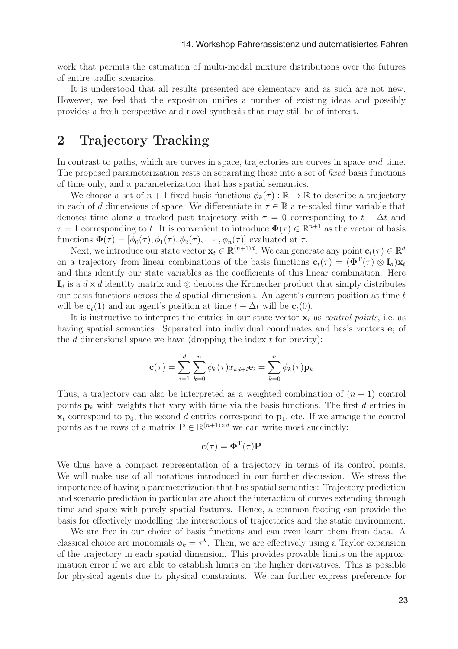work that permits the estimation of multi-modal mixture distributions over the futures of entire traffic scenarios.

It is understood that all results presented are elementary and as such are not new. However, we feel that the exposition unifies a number of existing ideas and possibly provides a fresh perspective and novel synthesis that may still be of interest.

#### 2 Trajectory Tracking

In contrast to paths, which are curves in space, trajectories are curves in space and time. The proposed parameterization rests on separating these into a set of fixed basis functions of time only, and a parameterization that has spatial semantics.

We choose a set of  $n+1$  fixed basis functions  $\phi_k(\tau) : \mathbb{R} \to \mathbb{R}$  to describe a trajectory in each of d dimensions of space. We differentiate in  $\tau \in \mathbb{R}$  a re-scaled time variable that denotes time along a tracked past trajectory with  $\tau = 0$  corresponding to  $t - \Delta t$  and  $\tau = 1$  corresponding to t. It is convenient to introduce  $\Phi(\tau) \in \mathbb{R}^{n+1}$  as the vector of basis functions  $\Phi(\tau)=[\phi_0(\tau), \phi_1(\tau), \phi_2(\tau), \cdots, \phi_n(\tau)]$  evaluated at  $\tau$ .

Next, we introduce our state vector  $\mathbf{x}_t \in \mathbb{R}^{(n+1)d}$ . We can generate any point  $\mathbf{c}_t(\tau) \in \mathbb{R}^d$ on a trajectory from linear combinations of the basis functions  $\mathbf{c}_t(\tau) = (\mathbf{\Phi}^T(\tau) \otimes \mathbf{I}_d)\mathbf{x}_t$ and thus identify our state variables as the coefficients of this linear combination. Here  $\mathbf{I}_d$  is a  $d \times d$  identity matrix and ⊗ denotes the Kronecker product that simply distributes our basis functions across the  $d$  spatial dimensions. An agent's current position at time  $t$ will be  $\mathbf{c}_t(1)$  and an agent's position at time  $t - \Delta t$  will be  $\mathbf{c}_t(0)$ .

It is instructive to interpret the entries in our state vector  $\mathbf{x}_t$  as *control points*, i.e. as having spatial semantics. Separated into individual coordinates and basis vectors  $e_i$  of the  $d$  dimensional space we have (dropping the index  $t$  for brevity):

$$
\mathbf{c}(\tau) = \sum_{i=1}^{d} \sum_{k=0}^{n} \phi_k(\tau) x_{kd+i} \mathbf{e}_i = \sum_{k=0}^{n} \phi_k(\tau) \mathbf{p}_k
$$

Thus, a trajectory can also be interpreted as a weighted combination of  $(n + 1)$  control points  $\mathbf{p}_k$  with weights that vary with time via the basis functions. The first d entries in  $\mathbf{x}_t$  correspond to  $\mathbf{p}_0$ , the second d entries correspond to  $\mathbf{p}_1$ , etc. If we arrange the control points as the rows of a matrix  $\mathbf{P} \in \mathbb{R}^{(n+1) \times d}$  we can write most succinctly:

$$
\mathbf{c}(\tau) = \mathbf{\Phi}^{\mathrm{T}}(\tau)\mathbf{P}
$$

We thus have a compact representation of a trajectory in terms of its control points. We will make use of all notations introduced in our further discussion. We stress the importance of having a parameterization that has spatial semantics: Trajectory prediction and scenario prediction in particular are about the interaction of curves extending through time and space with purely spatial features. Hence, a common footing can provide the basis for effectively modelling the interactions of trajectories and the static environment.

We are free in our choice of basis functions and can even learn them from data. A classical choice are monomials  $\phi_k = \tau^k$ . Then, we are effectively using a Taylor expansion of the trajectory in each spatial dimension. This provides provable limits on the approximation error if we are able to establish limits on the higher derivatives. This is possible for physical agents due to physical constraints. We can further express preference for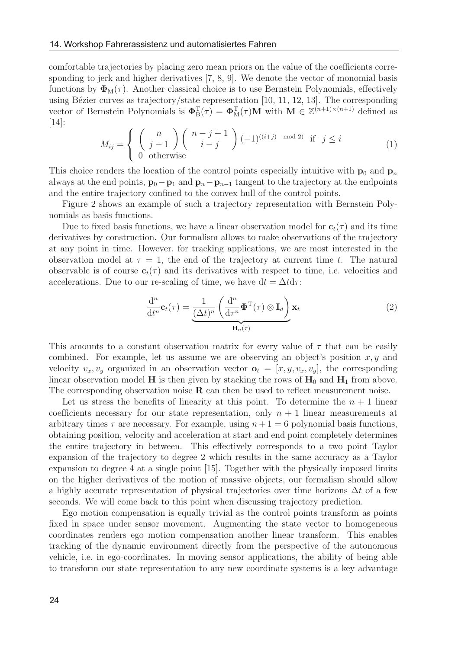comfortable trajectories by placing zero mean priors on the value of the coefficients corresponding to jerk and higher derivatives [7, 8, 9]. We denote the vector of monomial basis functions by  $\Phi_{\mathcal{M}}(\tau)$ . Another classical choice is to use Bernstein Polynomials, effectively using Bézier curves as trajectory/state representation  $[10, 11, 12, 13]$ . The corresponding vector of Bernstein Polynomials is  $\Phi_B^T(\tau) = \Phi_M^T(\tau)M$  with  $M \in \mathbb{Z}^{(n+1)\times (n+1)}$  defined as [14]:

$$
M_{ij} = \begin{cases} \binom{n}{j-1} \binom{n-j+1}{i-j} (-1)^{((i+j) \mod 2)} & \text{if } j \le i \\ 0 & \text{otherwise} \end{cases}
$$
 (1)

This choice renders the location of the control points especially intuitive with  $\mathbf{p}_0$  and  $\mathbf{p}_n$ always at the end points,  $\mathbf{p}_0 - \mathbf{p}_1$  and  $\mathbf{p}_n - \mathbf{p}_{n-1}$  tangent to the trajectory at the endpoints and the entire trajectory confined to the convex hull of the control points.

Figure 2 shows an example of such a trajectory representation with Bernstein Polynomials as basis functions.

Due to fixed basis functions, we have a linear observation model for  $c_t(\tau)$  and its time derivatives by construction. Our formalism allows to make observations of the trajectory at any point in time. However, for tracking applications, we are most interested in the observation model at  $\tau = 1$ , the end of the trajectory at current time t. The natural observable is of course  $c_t(\tau)$  and its derivatives with respect to time, i.e. velocities and accelerations. Due to our re-scaling of time, we have  $dt = \Delta t d\tau$ :

$$
\frac{\mathrm{d}^n}{\mathrm{d}t^n} \mathbf{c}_t(\tau) = \underbrace{\frac{1}{(\Delta t)^n} \left( \frac{\mathrm{d}^n}{\mathrm{d}\tau^n} \mathbf{\Phi}^{\mathrm{T}}(\tau) \otimes \mathbf{I}_d \right)}_{\mathbf{H}_n(\tau)} \mathbf{x}_t \tag{2}
$$

This amounts to a constant observation matrix for every value of  $\tau$  that can be easily combined. For example, let us assume we are observing an object's position  $x, y$  and velocity  $v_x, v_y$  organized in an observation vector  $\mathbf{o}_t = [x, y, v_x, v_y]$ , the corresponding linear observation model **H** is then given by stacking the rows of  $H_0$  and  $H_1$  from above. The corresponding observation noise R can then be used to reflect measurement noise.

Let us stress the benefits of linearity at this point. To determine the  $n + 1$  linear coefficients necessary for our state representation, only  $n + 1$  linear measurements at arbitrary times  $\tau$  are necessary. For example, using  $n + 1 = 6$  polynomial basis functions, obtaining position, velocity and acceleration at start and end point completely determines the entire trajectory in between. This effectively corresponds to a two point Taylor expansion of the trajectory to degree 2 which results in the same accuracy as a Taylor expansion to degree 4 at a single point [15]. Together with the physically imposed limits on the higher derivatives of the motion of massive objects, our formalism should allow a highly accurate representation of physical trajectories over time horizons  $\Delta t$  of a few seconds. We will come back to this point when discussing trajectory prediction.

Ego motion compensation is equally trivial as the control points transform as points fixed in space under sensor movement. Augmenting the state vector to homogeneous coordinates renders ego motion compensation another linear transform. This enables tracking of the dynamic environment directly from the perspective of the autonomous vehicle, i.e. in ego-coordinates. In moving sensor applications, the ability of being able to transform our state representation to any new coordinate systems is a key advantage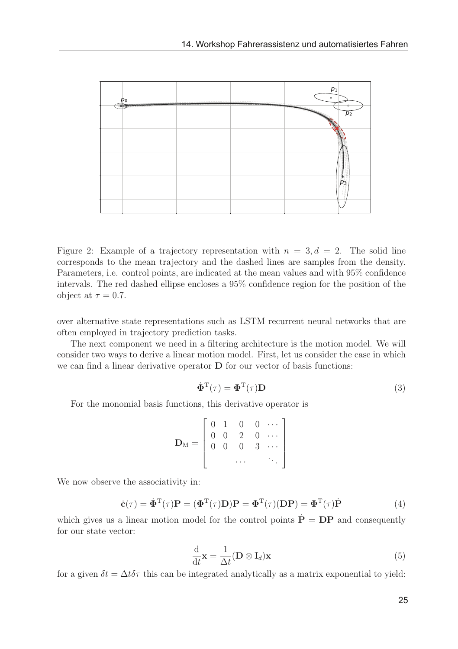

Figure 2: Example of a trajectory representation with  $n = 3, d = 2$ . The solid line corresponds to the mean trajectory and the dashed lines are samples from the density. Parameters, i.e. control points, are indicated at the mean values and with 95% confidence intervals. The red dashed ellipse encloses a 95% confidence region for the position of the object at  $\tau = 0.7$ .

over alternative state representations such as LSTM recurrent neural networks that are often employed in trajectory prediction tasks.

The next component we need in a filtering architecture is the motion model. We will consider two ways to derive a linear motion model. First, let us consider the case in which we can find a linear derivative operator **D** for our vector of basis functions:

$$
\dot{\Phi}^{\mathrm{T}}(\tau) = \Phi^{\mathrm{T}}(\tau)\mathbf{D}
$$
\n(3)

For the monomial basis functions, this derivative operator is

$$
\mathbf{D}_{\mathbf{M}} = \left[ \begin{array}{cccc} 0 & 1 & 0 & 0 & \cdots \\ 0 & 0 & 2 & 0 & \cdots \\ 0 & 0 & 0 & 3 & \cdots \\ & & \cdots & & \ddots \end{array} \right]
$$

We now observe the associativity in:

$$
\dot{\mathbf{c}}(\tau) = \dot{\mathbf{\Phi}}^{\mathrm{T}}(\tau)\mathbf{P} = (\mathbf{\Phi}^{\mathrm{T}}(\tau)\mathbf{D})\mathbf{P} = \mathbf{\Phi}^{\mathrm{T}}(\tau)(\mathbf{D}\mathbf{P}) = \mathbf{\Phi}^{\mathrm{T}}(\tau)\dot{\mathbf{P}} \tag{4}
$$

which gives us a linear motion model for the control points  $\dot{\mathbf{P}} = \mathbf{DP}$  and consequently for our state vector:

$$
\frac{\mathrm{d}}{\mathrm{d}t}\mathbf{x} = \frac{1}{\Delta t}(\mathbf{D} \otimes \mathbf{I}_d)\mathbf{x}
$$
\n(5)

for a given  $\delta t = \Delta t \delta \tau$  this can be integrated analytically as a matrix exponential to yield: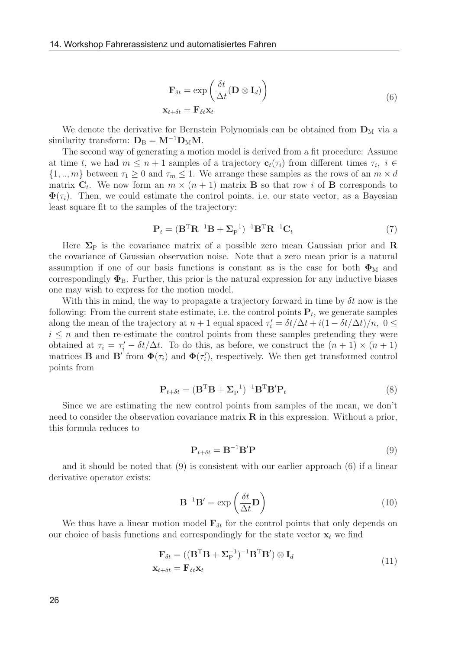$$
\mathbf{F}_{\delta t} = \exp\left(\frac{\delta t}{\Delta t}(\mathbf{D} \otimes \mathbf{I}_d)\right)
$$
  

$$
\mathbf{x}_{t+\delta t} = \mathbf{F}_{\delta t} \mathbf{x}_t
$$
 (6)

We denote the derivative for Bernstein Polynomials can be obtained from  $\mathbf{D}_M$  via a similarity transform:  $D_B = M^{-1}D_MM$ .

The second way of generating a motion model is derived from a fit procedure: Assume at time t, we had  $m \leq n+1$  samples of a trajectory  $\mathbf{c}_t(\tau_i)$  from different times  $\tau_i$ ,  $i \in$  $\{1, ..., m\}$  between  $\tau_1 \geq 0$  and  $\tau_m \leq 1$ . We arrange these samples as the rows of an  $m \times d$ matrix  $C_t$ . We now form an  $m \times (n+1)$  matrix **B** so that row i of **B** corresponds to  $\Phi(\tau_i)$ . Then, we could estimate the control points, i.e. our state vector, as a Bayesian least square fit to the samples of the trajectory:

$$
\mathbf{P}_t = (\mathbf{B}^{\mathrm{T}} \mathbf{R}^{-1} \mathbf{B} + \mathbf{\Sigma}_{\mathrm{P}}^{-1})^{-1} \mathbf{B}^{\mathrm{T}} \mathbf{R}^{-1} \mathbf{C}_t \tag{7}
$$

Here  $\Sigma_{\rm P}$  is the covariance matrix of a possible zero mean Gaussian prior and R the covariance of Gaussian observation noise. Note that a zero mean prior is a natural assumption if one of our basis functions is constant as is the case for both  $\Phi_{\text{M}}$  and correspondingly  $\Phi_B$ . Further, this prior is the natural expression for any inductive biases one may wish to express for the motion model.

With this in mind, the way to propagate a trajectory forward in time by  $\delta t$  now is the following: From the current state estimate, i.e. the control points  $P_t$ , we generate samples along the mean of the trajectory at  $n + 1$  equal spaced  $\tau' = \frac{\delta t}{\Delta t} + i(1 - \frac{\delta t}{\Delta t})/n$ ,  $0 \le$  $i \leq n$  and then re-estimate the control points from these samples pretending they were obtained at  $\tau_i = \tau'_i - \delta t/\Delta t$ . To do this, as before, we construct the  $(n + 1) \times (n + 1)$ matrices **B** and **B**' from  $\Phi(\tau_i)$  and  $\Phi(\tau_i')$ , respectively. We then get transformed control points from

$$
\mathbf{P}_{t+\delta t} = (\mathbf{B}^{\mathrm{T}} \mathbf{B} + \mathbf{\Sigma}_{\mathrm{P}}^{-1})^{-1} \mathbf{B}^{\mathrm{T}} \mathbf{B}' \mathbf{P}_t
$$
\n(8)

Since we are estimating the new control points from samples of the mean, we don't need to consider the observation covariance matrix  $\bf{R}$  in this expression. Without a prior, this formula reduces to

$$
\mathbf{P}_{t+\delta t} = \mathbf{B}^{-1} \mathbf{B}' \mathbf{P} \tag{9}
$$

and it should be noted that (9) is consistent with our earlier approach (6) if a linear derivative operator exists:

$$
\mathbf{B}^{-1}\mathbf{B}' = \exp\left(\frac{\delta t}{\Delta t}\mathbf{D}\right) \tag{10}
$$

We thus have a linear motion model  $\mathbf{F}_{\delta t}$  for the control points that only depends on our choice of basis functions and correspondingly for the state vector  $\mathbf{x}_t$  we find

$$
\mathbf{F}_{\delta t} = ((\mathbf{B}^{\mathrm{T}} \mathbf{B} + \mathbf{\Sigma}_{\mathrm{P}}^{-1})^{-1} \mathbf{B}^{\mathrm{T}} \mathbf{B}') \otimes \mathbf{I}_d \mathbf{x}_{t+\delta t} = \mathbf{F}_{\delta t} \mathbf{x}_t
$$
\n(11)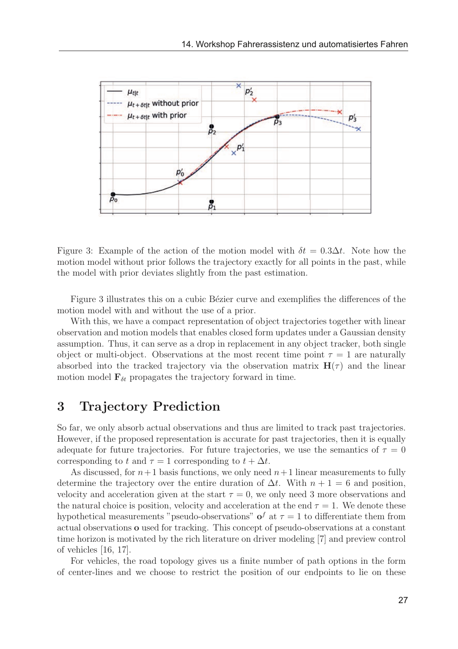

Figure 3: Example of the action of the motion model with  $\delta t = 0.3 \Delta t$ . Note how the motion model without prior follows the trajectory exactly for all points in the past, while the model with prior deviates slightly from the past estimation.

Figure 3 illustrates this on a cubic Bézier curve and exemplifies the differences of the motion model with and without the use of a prior.

With this, we have a compact representation of object trajectories together with linear observation and motion models that enables closed form updates under a Gaussian density assumption. Thus, it can serve as a drop in replacement in any object tracker, both single object or multi-object. Observations at the most recent time point  $\tau = 1$  are naturally absorbed into the tracked trajectory via the observation matrix  $H(\tau)$  and the linear motion model  $\mathbf{F}_{\delta t}$  propagates the trajectory forward in time.

## 3 Trajectory Prediction

So far, we only absorb actual observations and thus are limited to track past trajectories. However, if the proposed representation is accurate for past trajectories, then it is equally adequate for future trajectories. For future trajectories, we use the semantics of  $\tau = 0$ corresponding to t and  $\tau = 1$  corresponding to  $t + \Delta t$ .

As discussed, for  $n+1$  basis functions, we only need  $n+1$  linear measurements to fully determine the trajectory over the entire duration of  $\Delta t$ . With  $n + 1 = 6$  and position, velocity and acceleration given at the start  $\tau = 0$ , we only need 3 more observations and the natural choice is position, velocity and acceleration at the end  $\tau = 1$ . We denote these hypothetical measurements "pseudo-observations" of at  $\tau = 1$  to differentiate them from actual observations o used for tracking. This concept of pseudo-observations at a constant time horizon is motivated by the rich literature on driver modeling [7] and preview control of vehicles [16, 17].

For vehicles, the road topology gives us a finite number of path options in the form of center-lines and we choose to restrict the position of our endpoints to lie on these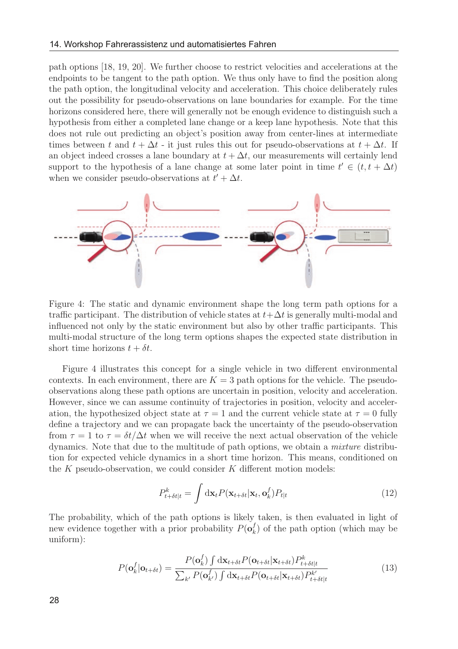path options [18, 19, 20]. We further choose to restrict velocities and accelerations at the endpoints to be tangent to the path option. We thus only have to find the position along the path option, the longitudinal velocity and acceleration. This choice deliberately rules out the possibility for pseudo-observations on lane boundaries for example. For the time horizons considered here, there will generally not be enough evidence to distinguish such a hypothesis from either a completed lane change or a keep lane hypothesis. Note that this does not rule out predicting an object's position away from center-lines at intermediate times between t and  $t + \Delta t$  - it just rules this out for pseudo-observations at  $t + \Delta t$ . If an object indeed crosses a lane boundary at  $t + \Delta t$ , our measurements will certainly lend support to the hypothesis of a lane change at some later point in time  $t' \in (t, t + \Delta t)$ when we consider pseudo-observations at  $t' + \Delta t$ .



Figure 4: The static and dynamic environment shape the long term path options for a traffic participant. The distribution of vehicle states at  $t+\Delta t$  is generally multi-modal and influenced not only by the static environment but also by other traffic participants. This multi-modal structure of the long term options shapes the expected state distribution in short time horizons  $t + \delta t$ .

Figure 4 illustrates this concept for a single vehicle in two different environmental contexts. In each environment, there are  $K = 3$  path options for the vehicle. The pseudoobservations along these path options are uncertain in position, velocity and acceleration. However, since we can assume continuity of trajectories in position, velocity and acceleration, the hypothesized object state at  $\tau = 1$  and the current vehicle state at  $\tau = 0$  fully define a trajectory and we can propagate back the uncertainty of the pseudo-observation from  $\tau = 1$  to  $\tau = \delta t/\Delta t$  when we will receive the next actual observation of the vehicle dynamics. Note that due to the multitude of path options, we obtain a mixture distribution for expected vehicle dynamics in a short time horizon. This means, conditioned on the  $K$  pseudo-observation, we could consider  $K$  different motion models:

$$
P_{t+\delta t|t}^k = \int \mathrm{d} \mathbf{x}_t P(\mathbf{x}_{t+\delta t}|\mathbf{x}_t, \mathbf{o}_k^f) P_{t|t}
$$
\n(12)

The probability, which of the path options is likely taken, is then evaluated in light of new evidence together with a prior probability  $P(\mathbf{o}_k^f)$  of the path option (which may be uniform):

$$
P(\mathbf{o}_{k}^{f}|\mathbf{o}_{t+\delta t}) = \frac{P(\mathbf{o}_{k}^{f}) \int d\mathbf{x}_{t+\delta t} P(\mathbf{o}_{t+\delta t}|\mathbf{x}_{t+\delta t}) P_{t+\delta t|t}^{k}}{\sum_{k'} P(\mathbf{o}_{k'}) \int d\mathbf{x}_{t+\delta t} P(\mathbf{o}_{t+\delta t}|\mathbf{x}_{t+\delta t}) P_{t+\delta t|t}^{k'}} \tag{13}
$$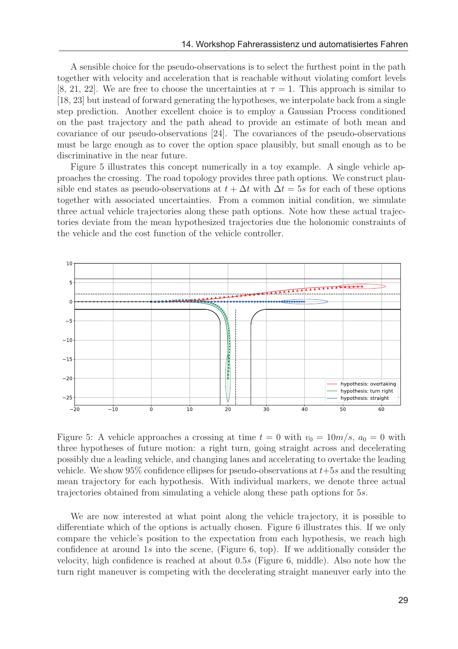A sensible choice for the pseudo-observations is to select the furthest point in the path together with velocity and acceleration that is reachable without violating comfort levels [8, 21, 22]. We are free to choose the uncertainties at  $\tau = 1$ . This approach is similar to [18, 23] but instead of forward generating the hypotheses, we interpolate back from a single step prediction. Another excellent choice is to employ a Gaussian Process conditioned on the past trajectory and the path ahead to provide an estimate of both mean and covariance of our pseudo-observations [24]. The covariances of the pseudo-observations must be large enough as to cover the option space plausibly, but small enough as to be discriminative in the near future.

Figure 5 illustrates this concept numerically in a toy example. A single vehicle approaches the crossing. The road topology provides three path options. We construct plausible end states as pseudo-observations at  $t + \Delta t$  with  $\Delta t = 5s$  for each of these options together with associated uncertainties. From a common initial condition, we simulate three actual vehicle trajectories along these path options. Note how these actual trajectories deviate from the mean hypothesized trajectories due the holonomic constraints of the vehicle and the cost function of the vehicle controller.



Figure 5: A vehicle approaches a crossing at time  $t = 0$  with  $v_0 = 10m/s$ ,  $a_0 = 0$  with three hypotheses of future motion: a right turn, going straight across and decelerating possibly due a leading vehicle, and changing lanes and accelerating to overtake the leading vehicle. We show 95% confidence ellipses for pseudo-observations at  $t+5s$  and the resulting mean trajectory for each hypothesis. With individual markers, we denote three actual trajectories obtained from simulating a vehicle along these path options for 5s.

We are now interested at what point along the vehicle trajectory, it is possible to differentiate which of the options is actually chosen. Figure 6 illustrates this. If we only compare the vehicle's position to the expectation from each hypothesis, we reach high confidence at around 1s into the scene, (Figure 6, top). If we additionally consider the velocity, high confidence is reached at about 0.5s (Figure 6, middle). Also note how the turn right maneuver is competing with the decelerating straight maneuver early into the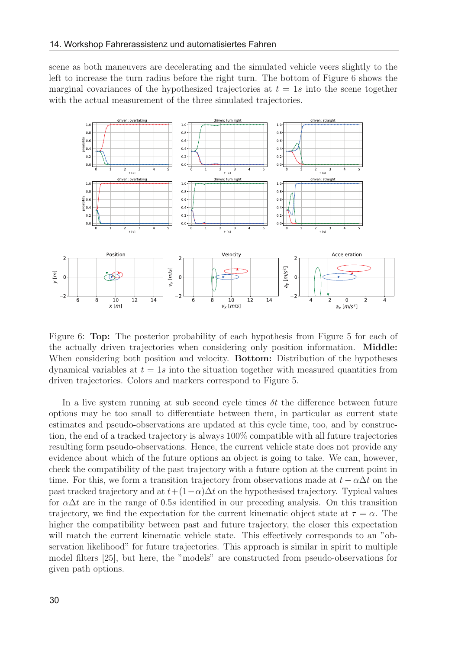scene as both maneuvers are decelerating and the simulated vehicle veers slightly to the left to increase the turn radius before the right turn. The bottom of Figure 6 shows the marginal covariances of the hypothesized trajectories at  $t = 1s$  into the scene together with the actual measurement of the three simulated trajectories.



Figure 6: Top: The posterior probability of each hypothesis from Figure 5 for each of the actually driven trajectories when considering only position information. Middle: When considering both position and velocity. **Bottom:** Distribution of the hypotheses dynamical variables at  $t = 1s$  into the situation together with measured quantities from driven trajectories. Colors and markers correspond to Figure 5.

In a live system running at sub second cycle times  $\delta t$  the difference between future options may be too small to differentiate between them, in particular as current state estimates and pseudo-observations are updated at this cycle time, too, and by construction, the end of a tracked trajectory is always 100% compatible with all future trajectories resulting form pseudo-observations. Hence, the current vehicle state does not provide any evidence about which of the future options an object is going to take. We can, however, check the compatibility of the past trajectory with a future option at the current point in time. For this, we form a transition trajectory from observations made at  $t - \alpha \Delta t$  on the past tracked trajectory and at  $t+(1-\alpha)\Delta t$  on the hypothesised trajectory. Typical values for  $\alpha\Delta t$  are in the range of 0.5s identified in our preceding analysis. On this transition trajectory, we find the expectation for the current kinematic object state at  $\tau = \alpha$ . The higher the compatibility between past and future trajectory, the closer this expectation will match the current kinematic vehicle state. This effectively corresponds to an "observation likelihood" for future trajectories. This approach is similar in spirit to multiple model filters [25], but here, the "models" are constructed from pseudo-observations for given path options.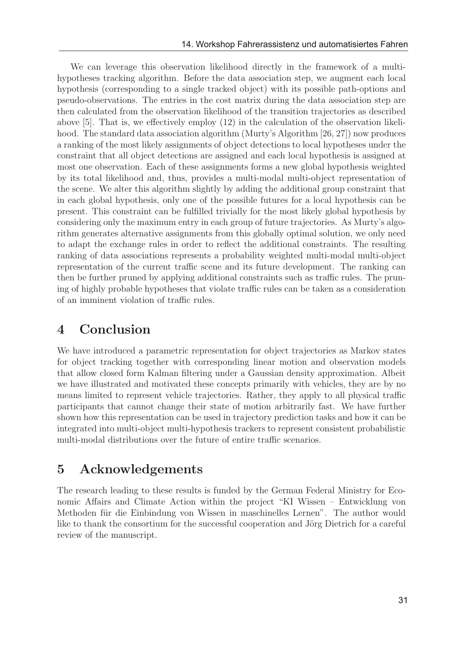We can leverage this observation likelihood directly in the framework of a multihypotheses tracking algorithm. Before the data association step, we augment each local hypothesis (corresponding to a single tracked object) with its possible path-options and pseudo-observations. The entries in the cost matrix during the data association step are then calculated from the observation likelihood of the transition trajectories as described above [5]. That is, we effectively employ (12) in the calculation of the observation likelihood. The standard data association algorithm (Murty's Algorithm [26, 27]) now produces a ranking of the most likely assignments of object detections to local hypotheses under the constraint that all object detections are assigned and each local hypothesis is assigned at most one observation. Each of these assignments forms a new global hypothesis weighted by its total likelihood and, thus, provides a multi-modal multi-object representation of the scene. We alter this algorithm slightly by adding the additional group constraint that in each global hypothesis, only one of the possible futures for a local hypothesis can be present. This constraint can be fulfilled trivially for the most likely global hypothesis by considering only the maximum entry in each group of future trajectories. As Murty's algorithm generates alternative assignments from this globally optimal solution, we only need to adapt the exchange rules in order to reflect the additional constraints. The resulting ranking of data associations represents a probability weighted multi-modal multi-object representation of the current traffic scene and its future development. The ranking can then be further pruned by applying additional constraints such as traffic rules. The pruning of highly probable hypotheses that violate traffic rules can be taken as a consideration of an imminent violation of traffic rules.

## 4 Conclusion

We have introduced a parametric representation for object trajectories as Markov states for object tracking together with corresponding linear motion and observation models that allow closed form Kalman filtering under a Gaussian density approximation. Albeit we have illustrated and motivated these concepts primarily with vehicles, they are by no means limited to represent vehicle trajectories. Rather, they apply to all physical traffic participants that cannot change their state of motion arbitrarily fast. We have further shown how this representation can be used in trajectory prediction tasks and how it can be integrated into multi-object multi-hypothesis trackers to represent consistent probabilistic multi-modal distributions over the future of entire traffic scenarios.

# 5 Acknowledgements

The research leading to these results is funded by the German Federal Ministry for Economic Affairs and Climate Action within the project "KI Wissen – Entwicklung von Methoden für die Einbindung von Wissen in maschinelles Lernen". The author would like to thank the consortium for the successful cooperation and Jörg Dietrich for a careful review of the manuscript.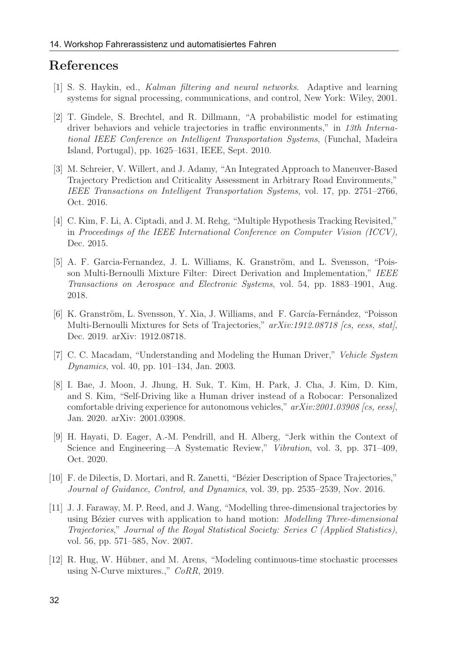#### References

- [1] S. S. Haykin, ed., Kalman filtering and neural networks. Adaptive and learning systems for signal processing, communications, and control, New York: Wiley, 2001.
- [2] T. Gindele, S. Brechtel, and R. Dillmann, "A probabilistic model for estimating driver behaviors and vehicle trajectories in traffic environments," in 13th International IEEE Conference on Intelligent Transportation Systems, (Funchal, Madeira Island, Portugal), pp. 1625–1631, IEEE, Sept. 2010.
- [3] M. Schreier, V. Willert, and J. Adamy, "An Integrated Approach to Maneuver-Based Trajectory Prediction and Criticality Assessment in Arbitrary Road Environments," IEEE Transactions on Intelligent Transportation Systems, vol. 17, pp. 2751–2766, Oct. 2016.
- [4] C. Kim, F. Li, A. Ciptadi, and J. M. Rehg, "Multiple Hypothesis Tracking Revisited," in Proceedings of the IEEE International Conference on Computer Vision (ICCV), Dec. 2015.
- [5] A. F. Garcia-Fernandez, J. L. Williams, K. Granström, and L. Svensson, "Poisson Multi-Bernoulli Mixture Filter: Direct Derivation and Implementation," IEEE Transactions on Aerospace and Electronic Systems, vol. 54, pp. 1883–1901, Aug. 2018.
- [6] K. Granström, L. Svensson, Y. Xia, J. Williams, and F. García-Fernández, "Poisson Multi-Bernoulli Mixtures for Sets of Trajectories,"  $arXiv:1912.08718$  [cs, eess, stat], Dec. 2019. arXiv: 1912.08718.
- [7] C. C. Macadam, "Understanding and Modeling the Human Driver," Vehicle System Dynamics, vol. 40, pp. 101–134, Jan. 2003.
- [8] I. Bae, J. Moon, J. Jhung, H. Suk, T. Kim, H. Park, J. Cha, J. Kim, D. Kim, and S. Kim, "Self-Driving like a Human driver instead of a Robocar: Personalized comfortable driving experience for autonomous vehicles," arXiv:2001.03908 [cs, eess], Jan. 2020. arXiv: 2001.03908.
- [9] H. Hayati, D. Eager, A.-M. Pendrill, and H. Alberg, "Jerk within the Context of Science and Engineering—A Systematic Review," Vibration, vol. 3, pp. 371–409, Oct. 2020.
- [10] F. de Dilectis, D. Mortari, and R. Zanetti, "Bézier Description of Space Trajectories," Journal of Guidance, Control, and Dynamics, vol. 39, pp. 2535–2539, Nov. 2016.
- [11] J. J. Faraway, M. P. Reed, and J. Wang, "Modelling three-dimensional trajectories by using Bézier curves with application to hand motion: *Modelling Three-dimensional* Trajectories," Journal of the Royal Statistical Society: Series C (Applied Statistics), vol. 56, pp. 571–585, Nov. 2007.
- [12] R. Hug, W. Hübner, and M. Arens, "Modeling continuous-time stochastic processes using N-Curve mixtures.," CoRR, 2019.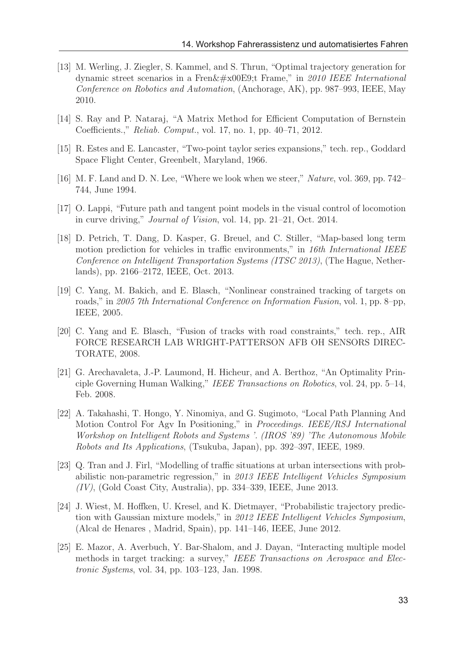- [13] M. Werling, J. Ziegler, S. Kammel, and S. Thrun, "Optimal trajectory generation for dynamic street scenarios in a Fren $\&\#x00E9$ ; Frame," in 2010 IEEE International Conference on Robotics and Automation, (Anchorage, AK), pp. 987–993, IEEE, May 2010.
- [14] S. Ray and P. Nataraj, "A Matrix Method for Efficient Computation of Bernstein Coefficients.," Reliab. Comput., vol. 17, no. 1, pp. 40–71, 2012.
- [15] R. Estes and E. Lancaster, "Two-point taylor series expansions," tech. rep., Goddard Space Flight Center, Greenbelt, Maryland, 1966.
- [16] M. F. Land and D. N. Lee, "Where we look when we steer," Nature, vol. 369, pp. 742– 744, June 1994.
- [17] O. Lappi, "Future path and tangent point models in the visual control of locomotion in curve driving," Journal of Vision, vol. 14, pp. 21–21, Oct. 2014.
- [18] D. Petrich, T. Dang, D. Kasper, G. Breuel, and C. Stiller, "Map-based long term motion prediction for vehicles in traffic environments," in 16th International IEEE Conference on Intelligent Transportation Systems (ITSC 2013), (The Hague, Netherlands), pp. 2166–2172, IEEE, Oct. 2013.
- [19] C. Yang, M. Bakich, and E. Blasch, "Nonlinear constrained tracking of targets on roads," in 2005 7th International Conference on Information Fusion, vol. 1, pp. 8–pp, IEEE, 2005.
- [20] C. Yang and E. Blasch, "Fusion of tracks with road constraints," tech. rep., AIR FORCE RESEARCH LAB WRIGHT-PATTERSON AFB OH SENSORS DIREC-TORATE, 2008.
- [21] G. Arechavaleta, J.-P. Laumond, H. Hicheur, and A. Berthoz, "An Optimality Principle Governing Human Walking," IEEE Transactions on Robotics, vol. 24, pp. 5–14, Feb. 2008.
- [22] A. Takahashi, T. Hongo, Y. Ninomiya, and G. Sugimoto, "Local Path Planning And Motion Control For Agv In Positioning," in Proceedings. IEEE/RSJ International Workshop on Intelligent Robots and Systems '. (IROS '89) 'The Autonomous Mobile Robots and Its Applications, (Tsukuba, Japan), pp. 392–397, IEEE, 1989.
- [23] Q. Tran and J. Firl, "Modelling of traffic situations at urban intersections with probabilistic non-parametric regression," in 2013 IEEE Intelligent Vehicles Symposium (IV), (Gold Coast City, Australia), pp. 334–339, IEEE, June 2013.
- [24] J. Wiest, M. Hoffken, U. Kresel, and K. Dietmayer, "Probabilistic trajectory prediction with Gaussian mixture models," in 2012 IEEE Intelligent Vehicles Symposium, (Alcal de Henares , Madrid, Spain), pp. 141–146, IEEE, June 2012.
- [25] E. Mazor, A. Averbuch, Y. Bar-Shalom, and J. Dayan, "Interacting multiple model methods in target tracking: a survey," IEEE Transactions on Aerospace and Electronic Systems, vol. 34, pp. 103–123, Jan. 1998.